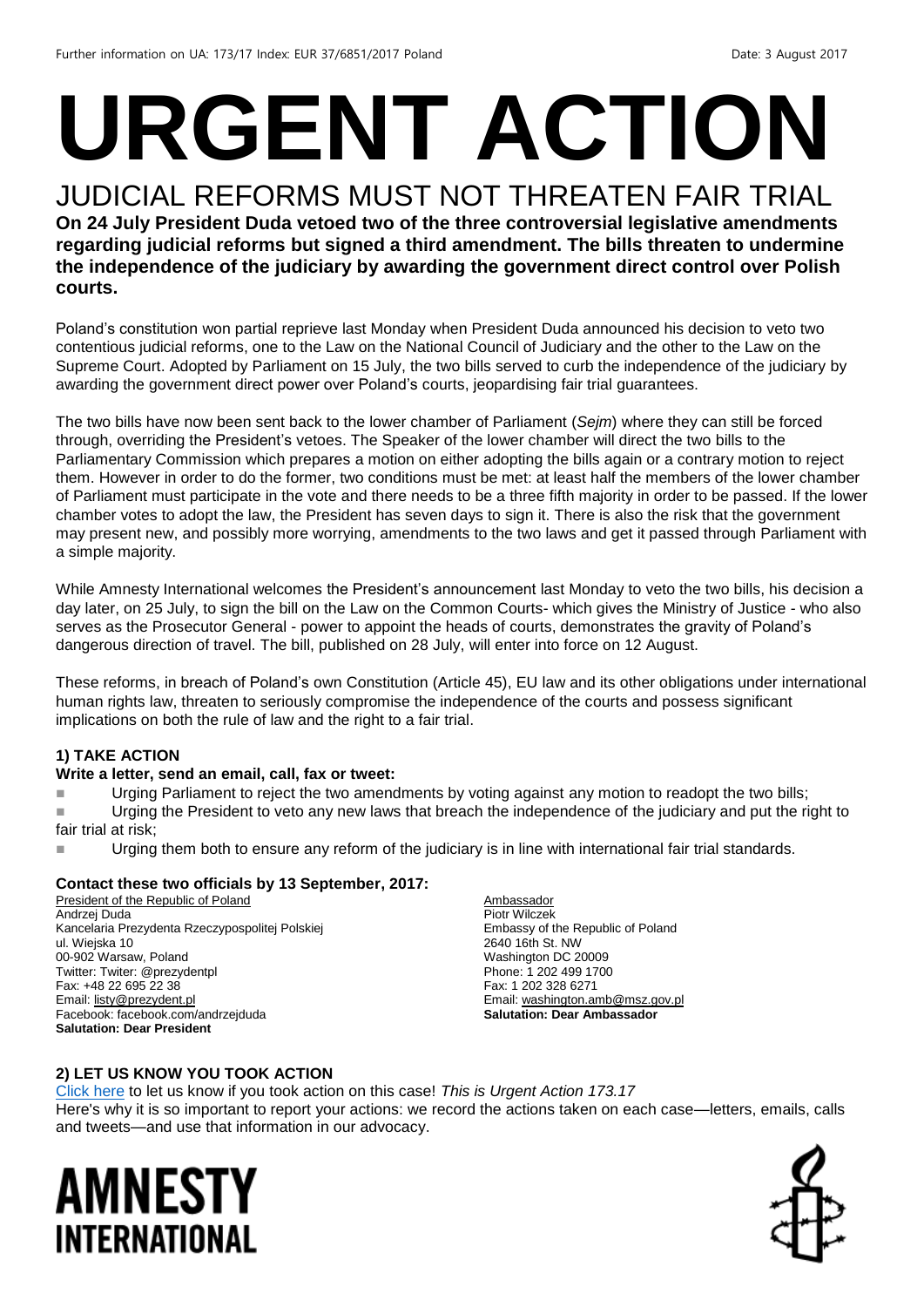# **URGENT ACTION**

#### JUDICIAL REFORMS MUST NOT THREATEN FAIR TRIAL **On 24 July President Duda vetoed two of the three controversial legislative amendments regarding judicial reforms but signed a third amendment. The bills threaten to undermine the independence of the judiciary by awarding the government direct control over Polish**

**courts.**

Poland's constitution won partial reprieve last Monday when President Duda announced his decision to veto two contentious judicial reforms, one to the Law on the National Council of Judiciary and the other to the Law on the Supreme Court. Adopted by Parliament on 15 July, the two bills served to curb the independence of the judiciary by awarding the government direct power over Poland's courts, jeopardising fair trial guarantees.

The two bills have now been sent back to the lower chamber of Parliament (*Sejm*) where they can still be forced through, overriding the President's vetoes. The Speaker of the lower chamber will direct the two bills to the Parliamentary Commission which prepares a motion on either adopting the bills again or a contrary motion to reject them. However in order to do the former, two conditions must be met: at least half the members of the lower chamber of Parliament must participate in the vote and there needs to be a three fifth majority in order to be passed. If the lower chamber votes to adopt the law, the President has seven days to sign it. There is also the risk that the government may present new, and possibly more worrying, amendments to the two laws and get it passed through Parliament with a simple majority.

While Amnesty International welcomes the President's announcement last Monday to veto the two bills, his decision a day later, on 25 July, to sign the bill on the Law on the Common Courts- which gives the Ministry of Justice - who also serves as the Prosecutor General - power to appoint the heads of courts, demonstrates the gravity of Poland's dangerous direction of travel. The bill, published on 28 July, will enter into force on 12 August.

These reforms, in breach of Poland's own Constitution (Article 45), EU law and its other obligations under international human rights law, threaten to seriously compromise the independence of the courts and possess significant implications on both the rule of law and the right to a fair trial.

#### **1) TAKE ACTION**

#### **Write a letter, send an email, call, fax or tweet:**

■ Urging Parliament to reject the two amendments by voting against any motion to readopt the two bills;

Urging the President to veto any new laws that breach the independence of the judiciary and put the right to fair trial at risk;

Urging them both to ensure any reform of the judiciary is in line with international fair trial standards.

#### **Contact these two officials by 13 September, 2017:**

President of the Republic of Poland Andrzej Duda Kancelaria Prezydenta Rzeczypospolitej Polskiej ul. Wiejska 10 00-902 Warsaw, Poland Twitter: Twiter: @prezydentpl Fax: +48 22 695 22 38 Email[: listy@prezydent.pl](mailto:listy@prezydent.pl) Facebook: facebook.com/andrzejduda **Salutation: Dear President** 

Ambassador Piotr Wilczek Embassy of the Republic of Poland 2640 16th St. NW Washington DC 20009 Phone: 1 202 499 1700 Fax: 1 202 328 6271 Email[: washington.amb@msz.gov.pl](mailto:washington.amb@msz.gov.pl) **Salutation: Dear Ambassador**

#### **2) LET US KNOW YOU TOOK ACTION**

[Click here](https://docs.google.com/forms/d/e/1FAIpQLSf3RUspces4lA9Gt7Fp9GiAcojCs6fnfFOTCLli3Su6c3S8ew/viewform) to let us know if you took action on this case! *This is Urgent Action 173.17* Here's why it is so important to report your actions: we record the actions taken on each case—letters, emails, calls and tweets—and use that information in our advocacy.